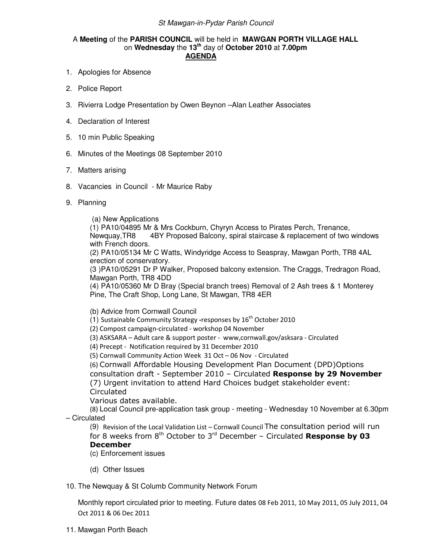## St Mawgan-in-Pydar Parish Council

## A **Meeting** of the **PARISH COUNCIL** will be held in **MAWGAN PORTH VILLAGE HALL** on **Wednesday** the **13th** day of **October 2010** at **7.00pm AGENDA**

- 1. Apologies for Absence
- 2. Police Report
- 3. Rivierra Lodge Presentation by Owen Beynon –Alan Leather Associates
- 4. Declaration of Interest
- 5. 10 min Public Speaking
- 6. Minutes of the Meetings 08 September 2010
- 7. Matters arising
- 8. Vacancies in Council Mr Maurice Raby
- 9. Planning

(a) New Applications

(1) PA10/04895 Mr & Mrs Cockburn, Chyryn Access to Pirates Perch, Trenance, Newquay,TR8 4BY Proposed Balcony, spiral staircase & replacement of two windows with French doors.

(2) PA10/05134 Mr C Watts, Windyridge Access to Seaspray, Mawgan Porth, TR8 4AL erection of conservatory.

(3 )PA10/05291 Dr P Walker, Proposed balcony extension. The Craggs, Tredragon Road, Mawgan Porth, TR8 4DD

(4) PA10/05360 Mr D Bray (Special branch trees) Removal of 2 Ash trees & 1 Monterey Pine, The Craft Shop, Long Lane, St Mawgan, TR8 4ER

(b) Advice from Cornwall Council

(1) Sustainable Community Strategy -responses by  $16^{th}$  October 2010

(2) Compost campaign-circulated - workshop 04 November

(3) ASKSARA – Adult care & support poster - www,cornwall.gov/asksara - Circulated

(4) Precept - Notification required by 31 December 2010

(5) Cornwall Community Action Week 31 Oct – 06 Nov - Circulated

(6) Cornwall Affordable Housing Development Plan Document (DPD)Options

consultation draft - September 2010 – Circulated Response by 29 November (7) Urgent invitation to attend Hard Choices budget stakeholder event: **Circulated** 

Various dates available.

(8) Local Council pre-application task group - meeting - Wednesday 10 November at 6.30pm – Circulated

(9) Revision of the Local Validation List – Cornwall Council The consultation period will run for 8 weeks from  $8<sup>th</sup>$  October to  $3<sup>rd</sup>$  December – Circulated Response by 03 December

(c) Enforcement issues

(d) Other Issues

10. The Newquay & St Columb Community Network Forum

Monthly report circulated prior to meeting. Future dates 08 Feb 2011, 10 May 2011, 05 July 2011, 04 Oct 2011 & 06 Dec 2011

11. Mawgan Porth Beach